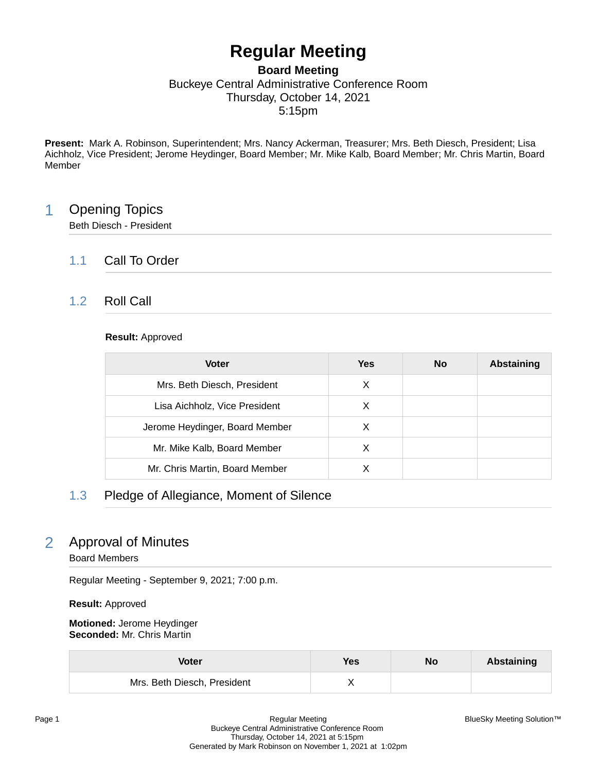# **Regular Meeting**

### **Board Meeting** Buckeye Central Administrative Conference Room Thursday, October 14, 2021 5:15pm

**Present:** Mark A. Robinson, Superintendent; Mrs. Nancy Ackerman, Treasurer; Mrs. Beth Diesch, President; Lisa Aichholz, Vice President; Jerome Heydinger, Board Member; Mr. Mike Kalb, Board Member; Mr. Chris Martin, Board Member

## 1 Opening Topics

Beth Diesch - President

## 1.1 Call To Order

## 1.2 Roll Call

#### **Result:** Approved

| <b>Voter</b>                   | Yes | <b>No</b> | <b>Abstaining</b> |
|--------------------------------|-----|-----------|-------------------|
| Mrs. Beth Diesch, President    | X   |           |                   |
| Lisa Aichholz, Vice President  | X   |           |                   |
| Jerome Heydinger, Board Member | X   |           |                   |
| Mr. Mike Kalb, Board Member    | X   |           |                   |
| Mr. Chris Martin, Board Member |     |           |                   |

## 1.3 Pledge of Allegiance, Moment of Silence

## 2 Approval of Minutes

Board Members

Regular Meeting - September 9, 2021; 7:00 p.m.

**Result:** Approved

**Motioned:** Jerome Heydinger **Seconded:** Mr. Chris Martin

| Voter                       | Yes | No | Abstaining |
|-----------------------------|-----|----|------------|
| Mrs. Beth Diesch, President |     |    |            |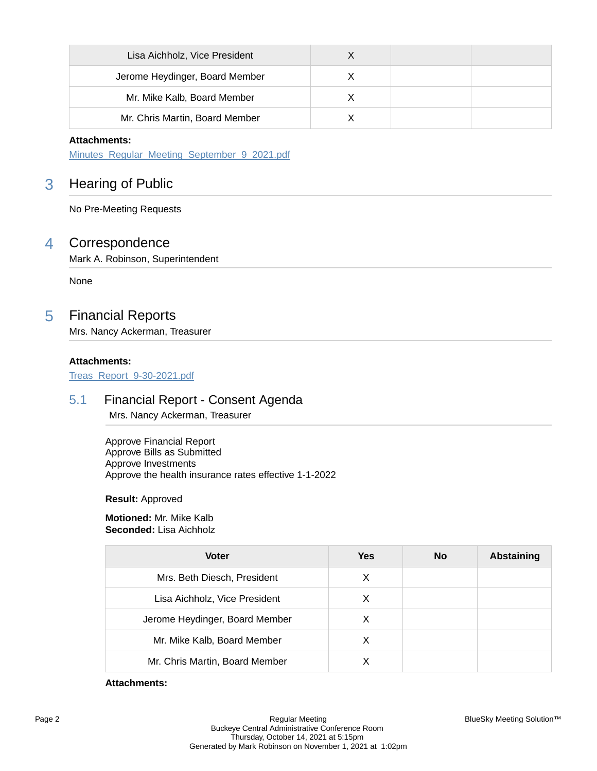| Lisa Aichholz, Vice President  |  |  |
|--------------------------------|--|--|
| Jerome Heydinger, Board Member |  |  |
| Mr. Mike Kalb, Board Member    |  |  |
| Mr. Chris Martin, Board Member |  |  |

#### **Attachments:**

[Minutes\\_Regular\\_Meeting\\_September\\_9\\_2021.pdf](https://bcbucks.blueskymeeting.com/meeting_groups/32/item_attachments/61485)

## 3 Hearing of Public

No Pre-Meeting Requests

## 4 Correspondence

Mark A. Robinson, Superintendent

None

## 5 Financial Reports

Mrs. Nancy Ackerman, Treasurer

#### **Attachments:**

[Treas\\_Report\\_9-30-2021.pdf](https://bcbucks.blueskymeeting.com/meeting_groups/32/item_attachments/61606)

### 5.1 Financial Report - Consent Agenda

Mrs. Nancy Ackerman, Treasurer

Approve Financial Report Approve Bills as Submitted Approve Investments Approve the health insurance rates effective 1-1-2022

**Result:** Approved

**Motioned:** Mr. Mike Kalb **Seconded:** Lisa Aichholz

| <b>Voter</b>                   | Yes | No | <b>Abstaining</b> |
|--------------------------------|-----|----|-------------------|
| Mrs. Beth Diesch, President    | X   |    |                   |
| Lisa Aichholz, Vice President  | X   |    |                   |
| Jerome Heydinger, Board Member | X   |    |                   |
| Mr. Mike Kalb, Board Member    | х   |    |                   |
| Mr. Chris Martin, Board Member |     |    |                   |

#### **Attachments:**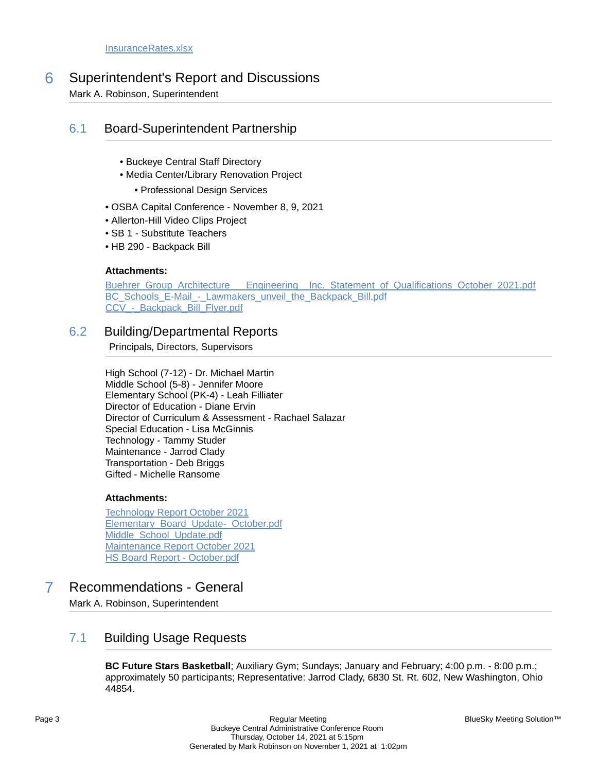6 Superintendent's Report and Discussions

Mark A. Robinson, Superintendent

## 6.1 Board-Superintendent Partnership

- Buckeye Central Staff Directory
- Media Center/Library Renovation Project
	- Professional Design Services
- OSBA Capital Conference November 8, 9, 2021
- Allerton-Hill Video Clips Project
- SB 1 Substitute Teachers
- HB 290 Backpack Bill

#### **Attachments:**

Buehrer Group Architecture Engineering Inc. Statement of Qualifications October 2021.pdf BC Schools E-Mail - Lawmakers unveil the Backpack Bill.pdf CCV - Backpack Bill Flyer.pdf

### 6.2 Building/Departmental Reports

Principals, Directors, Supervisors

High School (7-12) - Dr. Michael Martin Middle School (5-8) - Jennifer Moore Elementary School (PK-4) - Leah Filliater Director of Education - Diane Ervin Director of Curriculum & Assessment - Rachael Salazar Special Education - Lisa McGinnis Technology - Tammy Studer Maintenance - Jarrod Clady Transportation - Deb Briggs Gifted - Michelle Ransome

#### **Attachments:**

[Technology Report October 2021](https://bcbucks.blueskymeeting.com/meeting_groups/32/item_attachments/61564) [Elementary\\_Board\\_Update-\\_October.pdf](https://bcbucks.blueskymeeting.com/meeting_groups/32/item_attachments/61565) Middle School Update.pdf [Maintenance Report October 2021](https://bcbucks.blueskymeeting.com/meeting_groups/32/item_attachments/61614) [HS Board Report - October.pdf](https://bcbucks.blueskymeeting.com/meeting_groups/32/item_attachments/61615)

## 7 Recommendations - General

Mark A. Robinson, Superintendent

## 7.1 Building Usage Requests

**BC Future Stars Basketball**; Auxiliary Gym; Sundays; January and February; 4:00 p.m. - 8:00 p.m.; approximately 50 participants; Representative: Jarrod Clady, 6830 St. Rt. 602, New Washington, Ohio 44854.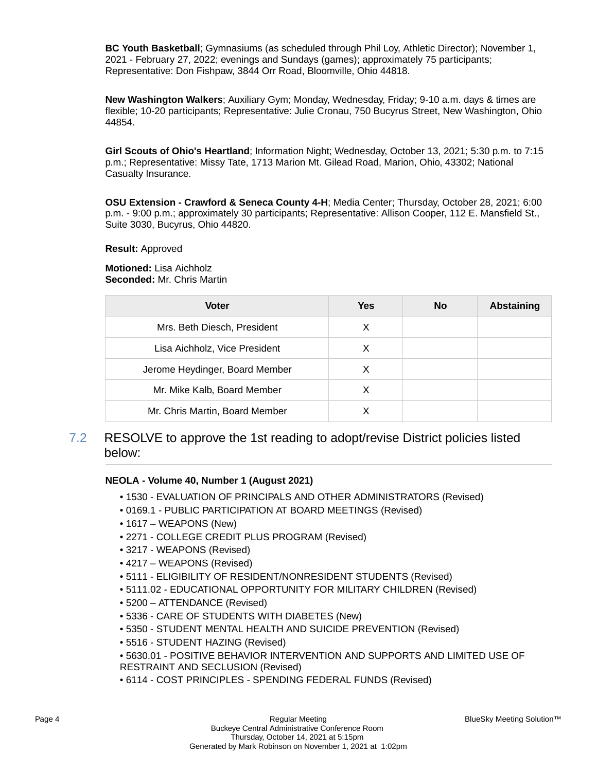**BC Youth Basketball**; Gymnasiums (as scheduled through Phil Loy, Athletic Director); November 1, 2021 - February 27, 2022; evenings and Sundays (games); approximately 75 participants; Representative: Don Fishpaw, 3844 Orr Road, Bloomville, Ohio 44818.

**New Washington Walkers**; Auxiliary Gym; Monday, Wednesday, Friday; 9-10 a.m. days & times are flexible; 10-20 participants; Representative: Julie Cronau, 750 Bucyrus Street, New Washington, Ohio 44854.

**Girl Scouts of Ohio's Heartland**; Information Night; Wednesday, October 13, 2021; 5:30 p.m. to 7:15 p.m.; Representative: Missy Tate, 1713 Marion Mt. Gilead Road, Marion, Ohio, 43302; National Casualty Insurance.

**OSU Extension - Crawford & Seneca County 4-H**; Media Center; Thursday, October 28, 2021; 6:00 p.m. - 9:00 p.m.; approximately 30 participants; Representative: Allison Cooper, 112 E. Mansfield St., Suite 3030, Bucyrus, Ohio 44820.

#### **Result:** Approved

**Motioned:** Lisa Aichholz **Seconded:** Mr. Chris Martin

| <b>Voter</b>                   | <b>Yes</b> | No | <b>Abstaining</b> |
|--------------------------------|------------|----|-------------------|
| Mrs. Beth Diesch, President    | X          |    |                   |
| Lisa Aichholz, Vice President  | X          |    |                   |
| Jerome Heydinger, Board Member | X          |    |                   |
| Mr. Mike Kalb, Board Member    | X          |    |                   |
| Mr. Chris Martin, Board Member | x          |    |                   |

7.2 RESOLVE to approve the 1st reading to adopt/revise District policies listed below:

#### **NEOLA - Volume 40, Number 1 (August 2021)**

- 1530 EVALUATION OF PRINCIPALS AND OTHER ADMINISTRATORS (Revised)
- 0169.1 PUBLIC PARTICIPATION AT BOARD MEETINGS (Revised)
- 1617 WEAPONS (New)
- 2271 COLLEGE CREDIT PLUS PROGRAM (Revised)
- 3217 WEAPONS (Revised)
- 4217 WEAPONS (Revised)
- 5111 ELIGIBILITY OF RESIDENT/NONRESIDENT STUDENTS (Revised)
- 5111.02 EDUCATIONAL OPPORTUNITY FOR MILITARY CHILDREN (Revised)
- 5200 ATTENDANCE (Revised)
- 5336 CARE OF STUDENTS WITH DIABETES (New)
- 5350 STUDENT MENTAL HEALTH AND SUICIDE PREVENTION (Revised)
- 5516 STUDENT HAZING (Revised)
- 5630.01 POSITIVE BEHAVIOR INTERVENTION AND SUPPORTS AND LIMITED USE OF RESTRAINT AND SECLUSION (Revised)
- 6114 COST PRINCIPLES SPENDING FEDERAL FUNDS (Revised)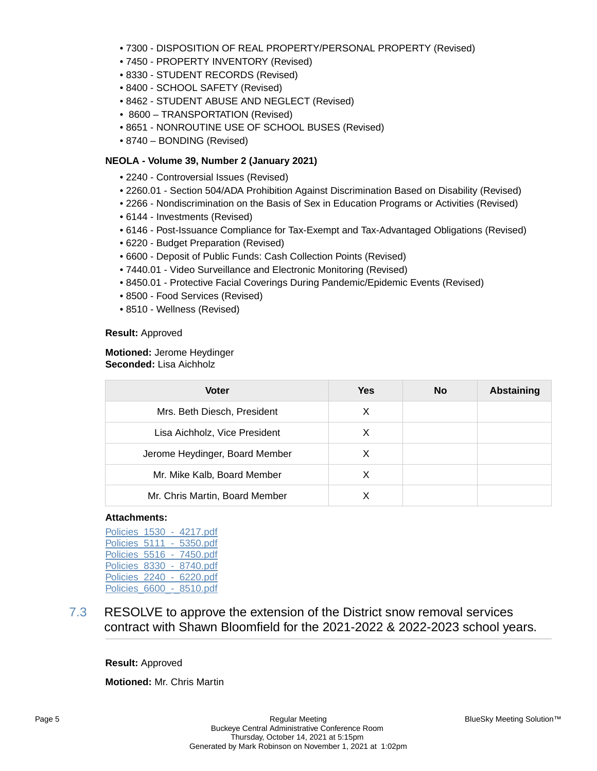- 7300 DISPOSITION OF REAL PROPERTY/PERSONAL PROPERTY (Revised)
- 7450 PROPERTY INVENTORY (Revised)
- 8330 STUDENT RECORDS (Revised)
- 8400 SCHOOL SAFETY (Revised)
- 8462 STUDENT ABUSE AND NEGLECT (Revised)
- 8600 TRANSPORTATION (Revised)
- 8651 NONROUTINE USE OF SCHOOL BUSES (Revised)
- 8740 BONDING (Revised)

#### **NEOLA - Volume 39, Number 2 (January 2021)**

- 2240 Controversial Issues (Revised)
- 2260.01 Section 504/ADA Prohibition Against Discrimination Based on Disability (Revised)
- 2266 Nondiscrimination on the Basis of Sex in Education Programs or Activities (Revised)
- 6144 Investments (Revised)
- 6146 Post-Issuance Compliance for Tax-Exempt and Tax-Advantaged Obligations (Revised)
- 6220 Budget Preparation (Revised)
- 6600 Deposit of Public Funds: Cash Collection Points (Revised)
- 7440.01 Video Surveillance and Electronic Monitoring (Revised)
- 8450.01 Protective Facial Coverings During Pandemic/Epidemic Events (Revised)
- 8500 Food Services (Revised)
- 8510 Wellness (Revised)

#### **Result:** Approved

#### **Motioned:** Jerome Heydinger **Seconded:** Lisa Aichholz

| Voter                          | Yes | <b>No</b> | Abstaining |
|--------------------------------|-----|-----------|------------|
| Mrs. Beth Diesch, President    | X   |           |            |
| Lisa Aichholz, Vice President  | X   |           |            |
| Jerome Heydinger, Board Member | х   |           |            |
| Mr. Mike Kalb, Board Member    | X   |           |            |
| Mr. Chris Martin, Board Member |     |           |            |

#### **Attachments:**

[Policies\\_1530\\_-\\_4217.pdf](https://bcbucks.blueskymeeting.com/meeting_groups/32/item_attachments/61553) Policies 5111 - 5350.pdf [Policies\\_5516\\_-\\_7450.pdf](https://bcbucks.blueskymeeting.com/meeting_groups/32/item_attachments/61555) [Policies\\_8330\\_-\\_8740.pdf](https://bcbucks.blueskymeeting.com/meeting_groups/32/item_attachments/61556) Policies 2240 - 6220.pdf Policies\_6600 - 8510.pdf

7.3 RESOLVE to approve the extension of the District snow removal services contract with Shawn Bloomfield for the 2021-2022 & 2022-2023 school years.

#### **Result:** Approved

**Motioned:** Mr. Chris Martin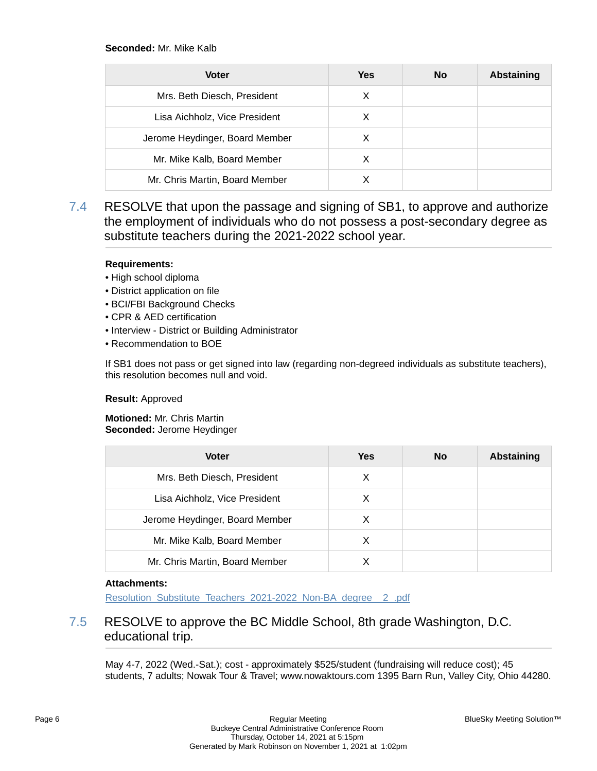#### **Seconded:** Mr. Mike Kalb

| <b>Voter</b>                   | <b>Yes</b> | No | <b>Abstaining</b> |
|--------------------------------|------------|----|-------------------|
| Mrs. Beth Diesch, President    | X          |    |                   |
| Lisa Aichholz, Vice President  | X          |    |                   |
| Jerome Heydinger, Board Member | X          |    |                   |
| Mr. Mike Kalb, Board Member    | X          |    |                   |
| Mr. Chris Martin, Board Member |            |    |                   |

7.4 RESOLVE that upon the passage and signing of SB1, to approve and authorize the employment of individuals who do not possess a post-secondary degree as substitute teachers during the 2021-2022 school year.

#### **Requirements:**

- High school diploma
- District application on file
- BCI/FBI Background Checks
- CPR & AED certification
- Interview District or Building Administrator
- Recommendation to BOE

If SB1 does not pass or get signed into law (regarding non-degreed individuals as substitute teachers), this resolution becomes null and void.

#### **Result:** Approved

**Motioned:** Mr. Chris Martin **Seconded:** Jerome Heydinger

| <b>Voter</b>                   | Yes | No | <b>Abstaining</b> |
|--------------------------------|-----|----|-------------------|
| Mrs. Beth Diesch, President    | X   |    |                   |
| Lisa Aichholz, Vice President  | X   |    |                   |
| Jerome Heydinger, Board Member | X   |    |                   |
| Mr. Mike Kalb, Board Member    | х   |    |                   |
| Mr. Chris Martin, Board Member | X   |    |                   |

#### **Attachments:**

[Resolution\\_Substitute\\_Teachers\\_2021-2022\\_Non-BA\\_degree\\_\\_2\\_.pdf](https://bcbucks.blueskymeeting.com/meeting_groups/32/item_attachments/61630)

## 7.5 RESOLVE to approve the BC Middle School, 8th grade Washington, D.C. educational trip.

May 4-7, 2022 (Wed.-Sat.); cost - approximately \$525/student (fundraising will reduce cost); 45 students, 7 adults; Nowak Tour & Travel; www.nowaktours.com 1395 Barn Run, Valley City, Ohio 44280.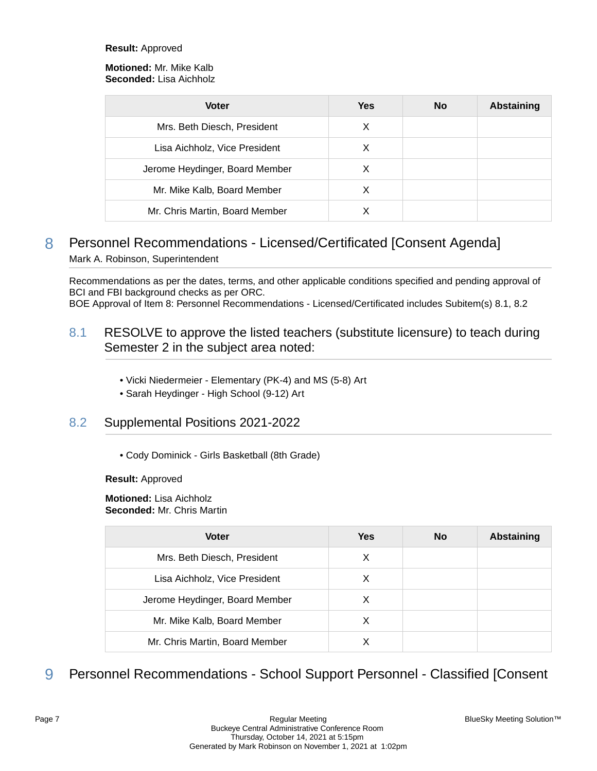#### **Result:** Approved

#### **Motioned:** Mr. Mike Kalb **Seconded:** Lisa Aichholz

| <b>Voter</b>                   | <b>Yes</b> | <b>No</b> | Abstaining |
|--------------------------------|------------|-----------|------------|
| Mrs. Beth Diesch, President    | X          |           |            |
| Lisa Aichholz, Vice President  | х          |           |            |
| Jerome Heydinger, Board Member | X          |           |            |
| Mr. Mike Kalb, Board Member    | х          |           |            |
| Mr. Chris Martin, Board Member |            |           |            |

## 8 Personnel Recommendations - Licensed/Certificated [Consent Agenda] Mark A. Robinson, Superintendent

Recommendations as per the dates, terms, and other applicable conditions specified and pending approval of BCI and FBI background checks as per ORC.

BOE Approval of Item 8: Personnel Recommendations - Licensed/Certificated includes Subitem(s) 8.1, 8.2

## 8.1 RESOLVE to approve the listed teachers (substitute licensure) to teach during Semester 2 in the subject area noted:

- Vicki Niedermeier Elementary (PK-4) and MS (5-8) Art
- Sarah Heydinger High School (9-12) Art

### 8.2 Supplemental Positions 2021-2022

• Cody Dominick - Girls Basketball (8th Grade)

**Result:** Approved

#### **Motioned:** Lisa Aichholz **Seconded:** Mr. Chris Martin

| <b>Voter</b>                   | Yes | <b>No</b> | <b>Abstaining</b> |
|--------------------------------|-----|-----------|-------------------|
| Mrs. Beth Diesch, President    | X   |           |                   |
| Lisa Aichholz, Vice President  | X   |           |                   |
| Jerome Heydinger, Board Member | X   |           |                   |
| Mr. Mike Kalb, Board Member    | X   |           |                   |
| Mr. Chris Martin, Board Member |     |           |                   |

## 9 Personnel Recommendations - School Support Personnel - Classified [Consent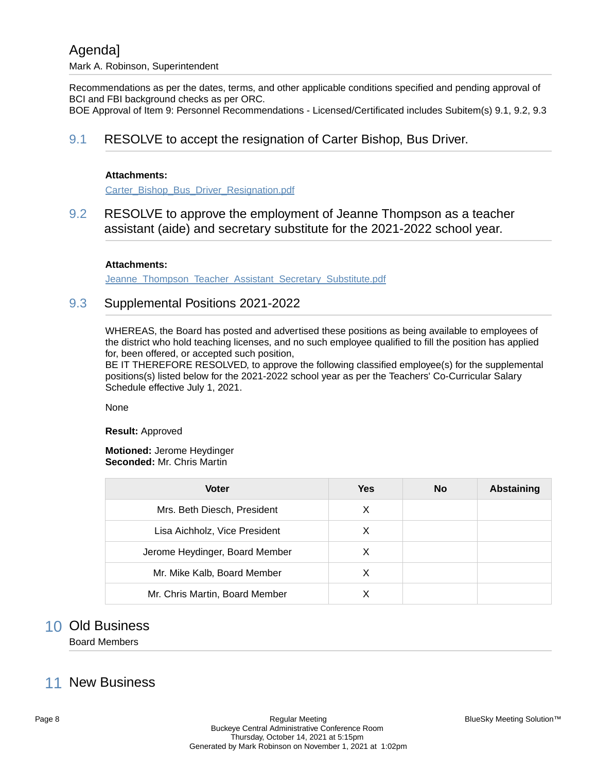Recommendations as per the dates, terms, and other applicable conditions specified and pending approval of BCI and FBI background checks as per ORC.

BOE Approval of Item 9: Personnel Recommendations - Licensed/Certificated includes Subitem(s) 9.1, 9.2, 9.3

### 9.1 RESOLVE to accept the resignation of Carter Bishop, Bus Driver.

#### **Attachments:**

[Carter\\_Bishop\\_Bus\\_Driver\\_Resignation.pdf](https://bcbucks.blueskymeeting.com/meeting_groups/32/item_attachments/61561)

### 9.2 RESOLVE to approve the employment of Jeanne Thompson as a teacher assistant (aide) and secretary substitute for the 2021-2022 school year.

#### **Attachments:**

[Jeanne\\_Thompson\\_Teacher\\_Assistant\\_Secretary\\_Substitute.pdf](https://bcbucks.blueskymeeting.com/meeting_groups/32/item_attachments/61560)

### 9.3 Supplemental Positions 2021-2022

WHEREAS, the Board has posted and advertised these positions as being available to employees of the district who hold teaching licenses, and no such employee qualified to fill the position has applied for, been offered, or accepted such position,

BE IT THEREFORE RESOLVED, to approve the following classified employee(s) for the supplemental positions(s) listed below for the 2021-2022 school year as per the Teachers' Co-Curricular Salary Schedule effective July 1, 2021.

None

**Result:** Approved

#### **Motioned:** Jerome Heydinger **Seconded:** Mr. Chris Martin

| <b>Voter</b>                   | Yes | <b>No</b> | <b>Abstaining</b> |
|--------------------------------|-----|-----------|-------------------|
| Mrs. Beth Diesch, President    | X   |           |                   |
| Lisa Aichholz, Vice President  | X   |           |                   |
| Jerome Heydinger, Board Member | х   |           |                   |
| Mr. Mike Kalb, Board Member    | х   |           |                   |
| Mr. Chris Martin, Board Member |     |           |                   |

## 10 Old Business

Board Members

## 11 New Business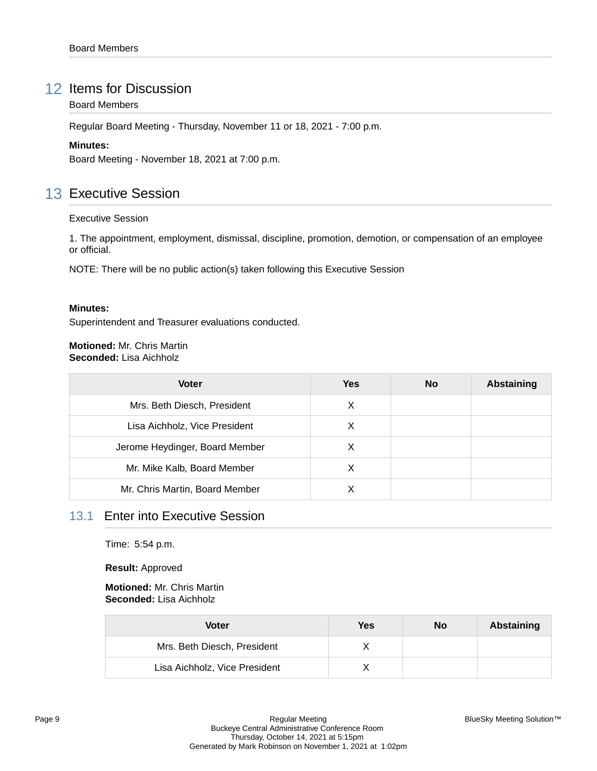## 12 Items for Discussion

#### Board Members

Regular Board Meeting - Thursday, November 11 or 18, 2021 - 7:00 p.m.

#### **Minutes:**

Board Meeting - November 18, 2021 at 7:00 p.m.

## 13 Executive Session

#### Executive Session

1. The appointment, employment, dismissal, discipline, promotion, demotion, or compensation of an employee or official.

NOTE: There will be no public action(s) taken following this Executive Session

#### **Minutes:**

Superintendent and Treasurer evaluations conducted.

#### **Motioned:** Mr. Chris Martin **Seconded:** Lisa Aichholz

| <b>Voter</b>                   | Yes | <b>No</b> | Abstaining |
|--------------------------------|-----|-----------|------------|
| Mrs. Beth Diesch, President    | X   |           |            |
| Lisa Aichholz, Vice President  | X   |           |            |
| Jerome Heydinger, Board Member | X   |           |            |
| Mr. Mike Kalb, Board Member    | X   |           |            |
| Mr. Chris Martin, Board Member |     |           |            |

## 13.1 Enter into Executive Session

Time: 5:54 p.m.

**Result:** Approved

#### **Motioned:** Mr. Chris Martin **Seconded:** Lisa Aichholz

| Voter                         | Yes | No | Abstaining |
|-------------------------------|-----|----|------------|
| Mrs. Beth Diesch, President   |     |    |            |
| Lisa Aichholz, Vice President |     |    |            |